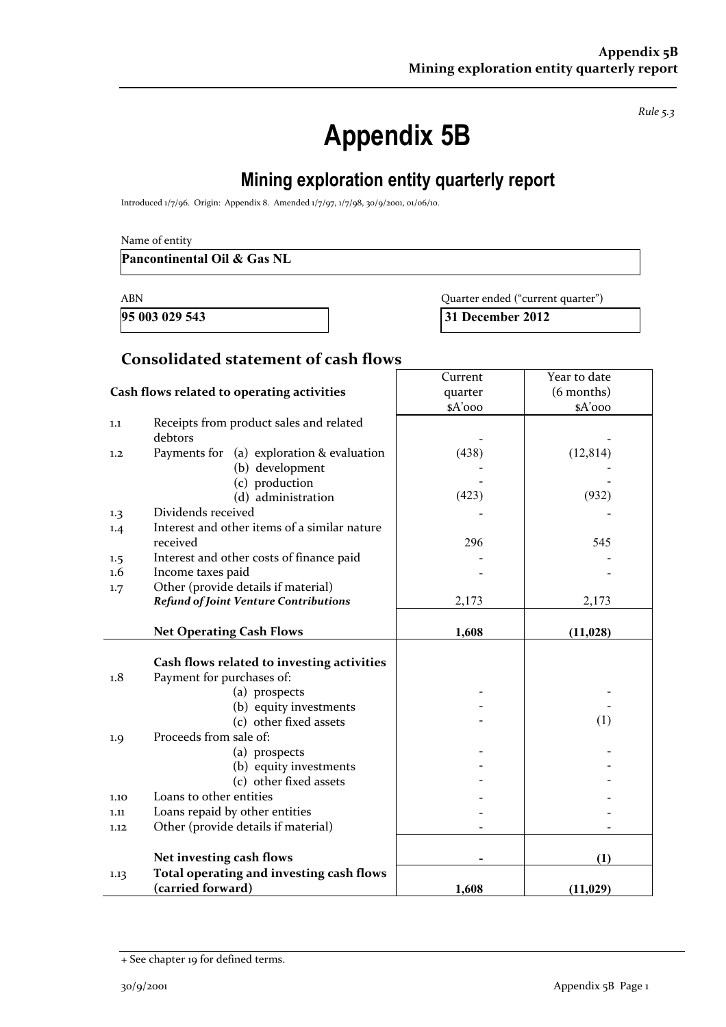*Rule 5.3*

# **Appendix 5B**

## **Mining exploration entity quarterly report**

Introduced 1/7/96. Origin: Appendix 8. Amended 1/7/97, 1/7/98, 30/9/2001, 01/06/10.

**Pancontinental Oil & Gas NL** 

**95 003 029 543 31 December 2012** 

ABN Quarter ended ("current quarter")

#### **Consolidated statement of cash flows**

|                                            |                                              | Current | Year to date |
|--------------------------------------------|----------------------------------------------|---------|--------------|
| Cash flows related to operating activities |                                              | quarter | (6 months)   |
|                                            |                                              | \$A'ooo | $A'$ 000     |
| 1.1                                        | Receipts from product sales and related      |         |              |
|                                            | debtors                                      |         |              |
| 1.2                                        | Payments for (a) exploration & evaluation    | (438)   | (12, 814)    |
|                                            | (b) development                              |         |              |
|                                            | (c) production                               |         |              |
|                                            | (d) administration                           | (423)   | (932)        |
| 1.3                                        | Dividends received                           |         |              |
| 1.4                                        | Interest and other items of a similar nature |         |              |
|                                            | received                                     | 296     | 545          |
| 1.5                                        | Interest and other costs of finance paid     |         |              |
| $1.6\phantom{0}$                           | Income taxes paid                            |         |              |
| 1.7                                        | Other (provide details if material)          |         |              |
|                                            | <b>Refund of Joint Venture Contributions</b> | 2,173   | 2,173        |
|                                            |                                              |         |              |
|                                            | <b>Net Operating Cash Flows</b>              | 1,608   | (11, 028)    |
|                                            |                                              |         |              |
|                                            | Cash flows related to investing activities   |         |              |
| 1.8                                        | Payment for purchases of:                    |         |              |
|                                            | (a) prospects                                |         |              |
|                                            | (b) equity investments                       |         |              |
|                                            | (c) other fixed assets                       |         | (1)          |
| 1.9                                        | Proceeds from sale of:                       |         |              |
|                                            | (a) prospects                                |         |              |
|                                            | (b) equity investments                       |         |              |
|                                            | (c) other fixed assets                       |         |              |
| 1.10                                       | Loans to other entities                      |         |              |
| 1.11                                       | Loans repaid by other entities               |         |              |
| 1.12                                       | Other (provide details if material)          |         |              |
|                                            |                                              |         |              |
|                                            | Net investing cash flows                     |         | (1)          |
| 1.13                                       | Total operating and investing cash flows     |         |              |
|                                            | (carried forward)                            | 1,608   | (11, 029)    |

<sup>+</sup> See chapter 19 for defined terms.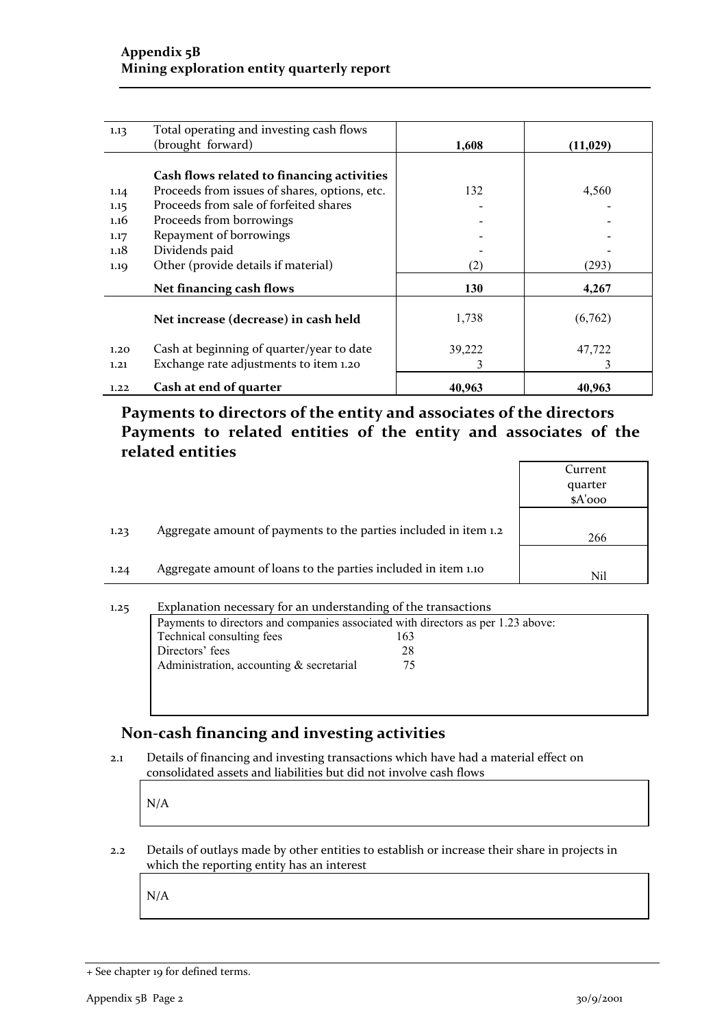| 1.13 | Total operating and investing cash flows      |        |           |
|------|-----------------------------------------------|--------|-----------|
|      | (brought forward)                             | 1,608  | (11, 029) |
|      |                                               |        |           |
|      | Cash flows related to financing activities    |        |           |
| 1.14 | Proceeds from issues of shares, options, etc. | 132    | 4,560     |
| 1.15 | Proceeds from sale of forfeited shares        |        |           |
| 1.16 | Proceeds from borrowings                      |        |           |
| 1.17 | Repayment of borrowings                       |        |           |
| 1.18 | Dividends paid                                |        |           |
| 1.19 | Other (provide details if material)           | (2)    | (293)     |
|      | Net financing cash flows                      | 130    | 4,267     |
|      | Net increase (decrease) in cash held          | 1,738  | (6,762)   |
| 1.20 | Cash at beginning of quarter/year to date     | 39,222 | 47,722    |
| 1.21 | Exchange rate adjustments to item 1.20        |        | 3         |
| 1.22 | Cash at end of quarter                        | 40,963 | 40,963    |

**Payments to directors of the entity and associates of the directors Payments to related entities of the entity and associates of the related entities**

| quarter<br>$A'$ ooo<br>Aggregate amount of payments to the parties included in item 1.2<br>1.23<br>266<br>Aggregate amount of loans to the parties included in item 1.10<br>1.24 |  | Current |
|----------------------------------------------------------------------------------------------------------------------------------------------------------------------------------|--|---------|
|                                                                                                                                                                                  |  |         |
|                                                                                                                                                                                  |  |         |
|                                                                                                                                                                                  |  |         |
|                                                                                                                                                                                  |  |         |
|                                                                                                                                                                                  |  |         |
|                                                                                                                                                                                  |  | Nil     |

| 1,25 | Explanation necessary for an understanding of the transactions                   |     |  |  |
|------|----------------------------------------------------------------------------------|-----|--|--|
|      | Payments to directors and companies associated with directors as per 1.23 above: |     |  |  |
|      | Technical consulting fees                                                        | 163 |  |  |
|      | Directors' fees                                                                  | 28  |  |  |
|      | Administration, accounting $&$ secretarial                                       | 75  |  |  |
|      |                                                                                  |     |  |  |
|      |                                                                                  |     |  |  |

#### **Non‐cash financing and investing activities**

2.1 Details of financing and investing transactions which have had a material effect on consolidated assets and liabilities but did not involve cash flows

and the property N/A

2.2 Details of outlays made by other entities to establish or increase their share in projects in which the reporting entity has an interest

and the property N/A

<sup>+</sup> See chapter 19 for defined terms.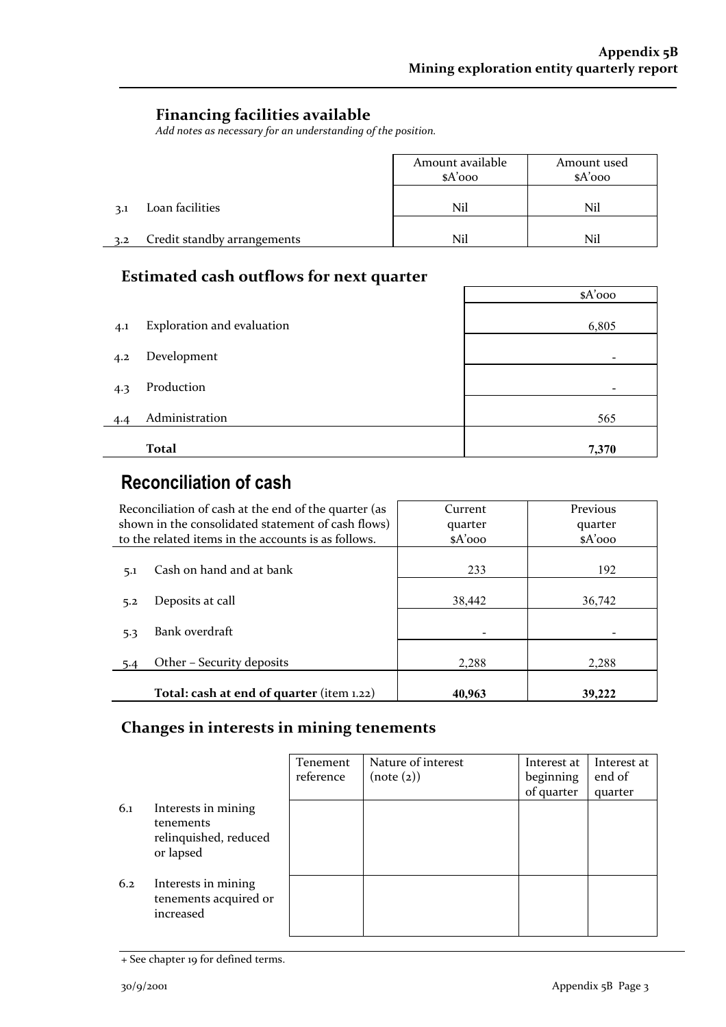٦

#### **Financing facilities available**

*Add notes as necessary for an understanding of the position.*

|     |                             | Amount available<br>$A'$ 000 | Amount used<br>$A'$ ooo |
|-----|-----------------------------|------------------------------|-------------------------|
| 3.1 | Loan facilities             | Nil                          | Nil                     |
| 3.2 | Credit standby arrangements | Nil                          | Nil                     |

### **Estimated cash outflows for next quarter**

|     |                            | $A'$ 000 |
|-----|----------------------------|----------|
| 4.1 | Exploration and evaluation | 6,805    |
| 4.2 | Development                |          |
| 4.3 | Production                 |          |
| 4.4 | Administration             | 565      |
|     | <b>Total</b>               | 7,370    |
|     |                            |          |

## **Reconciliation of cash**

| Reconciliation of cash at the end of the quarter (as<br>shown in the consolidated statement of cash flows)<br>to the related items in the accounts is as follows. | Current<br>quarter<br>$A'$ ooo | Previous<br>quarter<br>$A'$ 000 |
|-------------------------------------------------------------------------------------------------------------------------------------------------------------------|--------------------------------|---------------------------------|
| Cash on hand and at bank<br>5.1                                                                                                                                   | 233                            | 192                             |
| Deposits at call<br>5.2                                                                                                                                           | 38,442                         | 36,742                          |
| Bank overdraft<br>5.3                                                                                                                                             |                                |                                 |
| Other - Security deposits<br>5.4                                                                                                                                  | 2,288                          | 2,288                           |
| Total: cash at end of quarter (item 1.22)                                                                                                                         | 40,963                         | 39,222                          |

#### **Changes in interests in mining tenements**

|     |                                                                        | <b>Tenement</b><br>reference | Nature of interest<br>(note (2)) | Interest at<br>beginning<br>of quarter | Interest at<br>end of<br>quarter |
|-----|------------------------------------------------------------------------|------------------------------|----------------------------------|----------------------------------------|----------------------------------|
| 6.1 | Interests in mining<br>tenements<br>relinquished, reduced<br>or lapsed |                              |                                  |                                        |                                  |
| 6.2 | Interests in mining<br>tenements acquired or<br>increased              |                              |                                  |                                        |                                  |

<sup>+</sup> See chapter 19 for defined terms.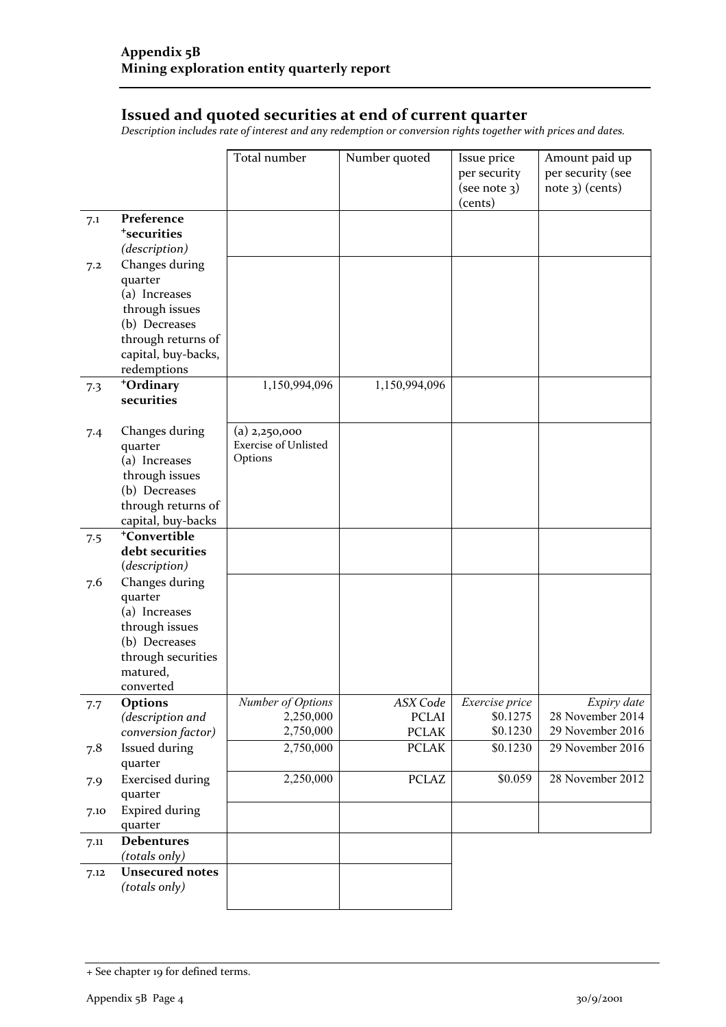#### **Issued and quoted securities at end of current quarter**

*Description includes rate of interest and any redemption or conversion rights together with prices and dates.*

|      |                                                | Total number                   | Number quoted            | Issue price<br>per security<br>(see note 3)<br>(cents) | Amount paid up<br>per security (see<br>$note$ 3) (cents) |
|------|------------------------------------------------|--------------------------------|--------------------------|--------------------------------------------------------|----------------------------------------------------------|
| 7.1  | Preference<br><sup>+</sup> securities          |                                |                          |                                                        |                                                          |
|      | (description)                                  |                                |                          |                                                        |                                                          |
| 7.2  | Changes during<br>quarter                      |                                |                          |                                                        |                                                          |
|      | (a) Increases                                  |                                |                          |                                                        |                                                          |
|      | through issues                                 |                                |                          |                                                        |                                                          |
|      | (b) Decreases                                  |                                |                          |                                                        |                                                          |
|      | through returns of                             |                                |                          |                                                        |                                                          |
|      | capital, buy-backs,                            |                                |                          |                                                        |                                                          |
|      | redemptions                                    |                                |                          |                                                        |                                                          |
| 7.3  | +Ordinary<br>securities                        | 1,150,994,096                  | 1,150,994,096            |                                                        |                                                          |
|      |                                                |                                |                          |                                                        |                                                          |
| 7.4  | Changes during                                 | $(a)$ 2,250,000                |                          |                                                        |                                                          |
|      | quarter                                        | <b>Exercise of Unlisted</b>    |                          |                                                        |                                                          |
|      | (a) Increases                                  | Options                        |                          |                                                        |                                                          |
|      | through issues                                 |                                |                          |                                                        |                                                          |
|      | (b) Decreases                                  |                                |                          |                                                        |                                                          |
|      | through returns of                             |                                |                          |                                                        |                                                          |
|      | capital, buy-backs<br><sup>+</sup> Convertible |                                |                          |                                                        |                                                          |
| 7.5  | debt securities                                |                                |                          |                                                        |                                                          |
|      | (description)                                  |                                |                          |                                                        |                                                          |
| 7.6  | Changes during                                 |                                |                          |                                                        |                                                          |
|      | quarter                                        |                                |                          |                                                        |                                                          |
|      | (a) Increases                                  |                                |                          |                                                        |                                                          |
|      | through issues                                 |                                |                          |                                                        |                                                          |
|      | (b) Decreases                                  |                                |                          |                                                        |                                                          |
|      | through securities                             |                                |                          |                                                        |                                                          |
|      | matured,                                       |                                |                          |                                                        |                                                          |
|      | converted                                      |                                |                          |                                                        |                                                          |
| 7.7  | <b>Options</b><br>(description and             | Number of Options<br>2,250,000 | ASX Code<br><b>PCLAI</b> | Exercise price<br>\$0.1275                             | Expiry date<br>28 November 2014                          |
|      | conversion factor)                             | 2,750,000                      | <b>PCLAK</b>             | \$0.1230                                               | 29 November 2016                                         |
| 7.8  | Issued during                                  | 2,750,000                      | <b>PCLAK</b>             | \$0.1230                                               | 29 November 2016                                         |
|      | quarter                                        |                                |                          |                                                        |                                                          |
| 7.9  | <b>Exercised during</b>                        | 2,250,000                      | <b>PCLAZ</b>             | \$0.059                                                | 28 November 2012                                         |
|      | quarter                                        |                                |                          |                                                        |                                                          |
| 7.10 | <b>Expired during</b>                          |                                |                          |                                                        |                                                          |
|      | quarter                                        |                                |                          |                                                        |                                                          |
| 7.11 | <b>Debentures</b>                              |                                |                          |                                                        |                                                          |
|      | (totals only)                                  |                                |                          |                                                        |                                                          |
| 7.12 | <b>Unsecured notes</b>                         |                                |                          |                                                        |                                                          |
|      | (totals only)                                  |                                |                          |                                                        |                                                          |

<sup>+</sup> See chapter 19 for defined terms.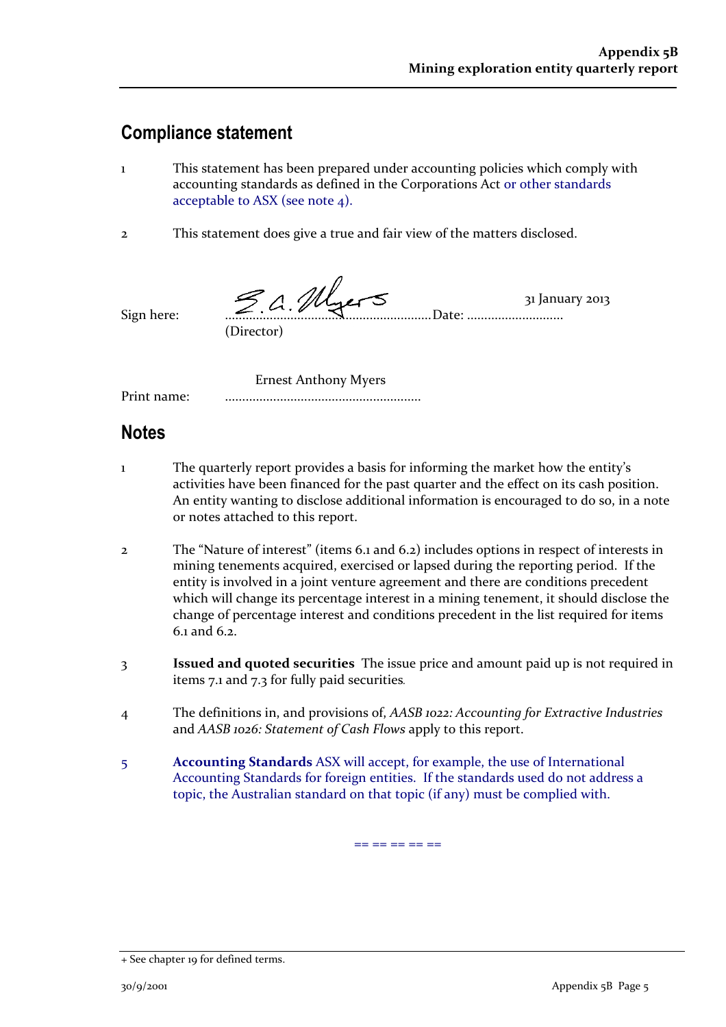## **Compliance statement**

- 1 This statement has been prepared under accounting policies which comply with accounting standards as defined in the Corporations Act or other standards acceptable to ASX (see note 4).
- 2 This statement does give a true and fair view of the matters disclosed.

 $\overline{\phantom{a}}$  $\leq$   $\wedge$   $\mathcal{M}_{\text{max}}$   $\leq$   $\qquad$  31 January 2013 Sign here: ............................................................Date: ............................ (Director)

Ernest Anthony Myers

Print name: .........................................................

## **Notes**

- 1 The quarterly report provides a basis for informing the market how the entity's activities have been financed for the past quarter and the effect on its cash position. An entity wanting to disclose additional information is encouraged to do so, in a note or notes attached to this report.
- 2 The "Nature of interest" (items 6.1 and 6.2) includes options in respect of interests in mining tenements acquired, exercised or lapsed during the reporting period. If the entity is involved in a joint venture agreement and there are conditions precedent which will change its percentage interest in a mining tenement, it should disclose the change of percentage interest and conditions precedent in the list required for items  $6.1$  and  $6.2$ .
- 3 **Issued and quoted securities** The issue price and amount paid up is not required in items 7.1 and 7.3 for fully paid securities*.*
- 4 The definitions in, and provisions of, *AASB 1022: Accounting for Extractive Industries* and *AASB 1026: Statement of Cash Flows* apply to this report.
- 5 **Accounting Standards** ASX will accept, for example, the use of International Accounting Standards for foreign entities. If the standards used do not address a topic, the Australian standard on that topic (if any) must be complied with.

== == == == ==

<sup>+</sup> See chapter 19 for defined terms.